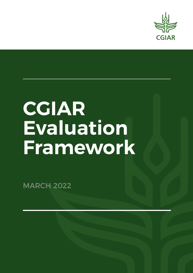

# **CGIAR Evaluation Framework**

**MARCH 2022**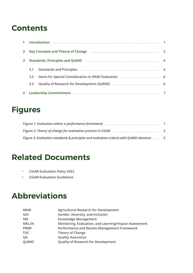# **Contents**

| $\mathbf{2}$ |                  | Key Concepts and Theory of Change manufacture and the control of the Taylor and Theory of Change manufacture and the Concepts and Theory of Change manufacture and the Concepts and Theory of Change manufacture and Theory of |  |  |  |  |
|--------------|------------------|--------------------------------------------------------------------------------------------------------------------------------------------------------------------------------------------------------------------------------|--|--|--|--|
| 3            |                  |                                                                                                                                                                                                                                |  |  |  |  |
|              | 3.1              | Standards and Principles (2008) (2008) (2008) (2008) (2008) (2008) (2008) (2008) (2008) (2008) (2008) (2008) (                                                                                                                 |  |  |  |  |
|              | 3.2 <sub>2</sub> |                                                                                                                                                                                                                                |  |  |  |  |
|              | 3.3 <sub>2</sub> |                                                                                                                                                                                                                                |  |  |  |  |
|              |                  | Leadership Committment manufactured and a control of the control of the control of the control of the control o                                                                                                                |  |  |  |  |

# **Figures**

| Figure 3: Evaluation standards & principles and evaluation criteria with QoR4D elements | - 5 |
|-----------------------------------------------------------------------------------------|-----|

# **Related Documents**

- **• CGIAR Evaluation Policy 2022**
- **• CGIAR Evaluation Guidelines**

# **Abbreviations**

| AR4D        | <b>Agricultural Research for Development</b>           |
|-------------|--------------------------------------------------------|
| GDI         | Gender, Diversity, and Inclusion                       |
| KM          | <b>Knowledge Management</b>                            |
| MEL/IA      | Monitoring, Evaluation, and Learning/Impact Assessment |
| <b>PRMF</b> | Performance and Results Management Framework           |
| TOC         | <b>Theory of Change</b>                                |
| QA          | <b>Quality Assurance</b>                               |
| QoR4D       | <b>Quality of Research for Development</b>             |
|             |                                                        |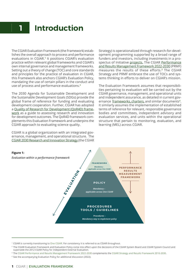# <span id="page-2-0"></span>**1 Introduction**

The CGIAR Evaluation Framework (the Framework) establishes the overall approach to process and performance evaluations in CGIAR. **<sup>1</sup>** It positions CGIAR's evaluation practice within relevant global frameworks and CGIAR's own internal governance and management frameworks. Setting out a theory of change (TOC) and core standards and principles for the practice of evaluation in CGIAR, this Framework also anchors CGIAR's Evaluation Policy, mandating the use of certain pillars in the conduct and use of process and performance evaluations.**<sup>2</sup>**

The 2030 Agenda for Sustainable Development and the Sustainable Development Goals (SDGs) provide the global frame of reference for funding and evaluating development cooperation. Further, CGIAR has adopted a [Quality of Research for Development \(QoR4D\) frame](https://cas.cgiar.org/sites/default/files/pdf/Quality%20of%20Research%20for%20Development%20in%20Practice%20for%20One%20CGIAR_0.pdf)[work](https://cas.cgiar.org/sites/default/files/pdf/Quality%20of%20Research%20for%20Development%20in%20Practice%20for%20One%20CGIAR_0.pdf) as a guide to assessing research and innovation for development outcomes. The QoR4D framework complements this Evaluation Framework and underpins the CGIAR approach to evaluating science quality.

CGIAR is a global organization with an integrated governance, management, and operational structure. The [CGIAR 2030 Research and Innovation Strategy](https://cgspace.cgiar.org/bitstream/handle/10568/110918/OneCGIAR-Strategy.pdf) (the CGIAR Strategy) is operationalized through research-for-development programming supported by a broad range of funders and investors, including investments in a prospectus of Initiative [projects.](https://storage.googleapis.com/cgiarorg/2021/06/Document-SC13_02_Endorsed-2022-24-Investment_-Prospectus.pdf) The CGIAR [Performance](https://cgspace.cgiar.org/bitstream/handle/10568/113793/SC11-03b_CGIAR-Performance-and-Results-Management-Framework-2022-30_postmeeting.pdf?sequence=8) [and Results Management Framework 2022-2030](https://cgspace.cgiar.org/bitstream/handle/10568/113793/SC11-03b_CGIAR-Performance-and-Results-Management-Framework-2022-30_postmeeting.pdf?sequence=8) (PRMF) measures the results of these efforts.**3** The CGIAR Strategy and PRMF embrace the use of TOCs and systems thinking in efforts to deliver on CGIAR's mission.

The Evaluation Framework assumes that responsibilities pertaining to evaluation will be carried out by the CGIAR governance, management, and operational units and independent assurance, as detailed in current governance [frameworks](https://cgspace.cgiar.org/bitstream/handle/10947/4371/CGIAR%20System%20Framework%20-%20WEB.pdf?sequence=7), [charters](https://cgspace.cgiar.org/bitstream/handle/10947/4370/Charter%20CGIAR%20Organization.pdf?sequence=11), and similar documents**<sup>4</sup>**. It similarly assumes the implementation of established terms of reference for relevant, responsible governance bodies and committees, independent advisory and evaluation services, and units within the operational structure that pertain to monitoring, evaluation, and learning (MEL) across CGIAR.



<sup>1</sup> CGIAR is currently transitioning to [One CGIAR.](https://www.cgiar.org/food-security-impact/one-cgiar/) For consistency it is referred to as CGIAR throughout.

<sup>4</sup> See the accompanying Evaluation Policy for additional discussion (2022).

<sup>&</sup>lt;sup>2</sup> The CGIAR Evaluation Framework and Evaluation Policy come into effect upon the decisions of the CGIAR System Board and CGIAR System Council and supersede the 2012 CGIAR Policy for Independent External Evaluation.

<sup>3</sup> Th[e CGIAR Performance and Results Management Framework 2022-2030](https://cgspace.cgiar.org/bitstream/handle/10568/113793/SC11-03b_CGIAR-Performance-and-Results-Management-Framework-2022-30_postmeeting.pdf?sequence=8) complements the [CGIAR Strategy and Results Framework 2016-2030](https://cgspace.cgiar.org/handle/10947/3865).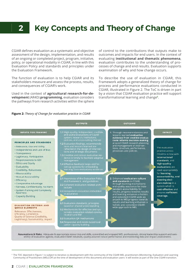### <span id="page-3-0"></span>**Key Concepts and Theory of Change 2**

CGIAR defines evaluation as a systematic and objective assessment of the design, implementation, and results of an ongoing or completed project, program, initiative, policy, or operational modality in CGIAR, in line with this Evaluation Policy and standards and principles under the Evaluation Framework.

The function of evaluation is to help CGIAR and its stakeholders measure and assess the process, results, and consequences of CGIAR's work.

Used in the context of **agricultural research-for-development** (AR4D) **programming**, evaluation considers the pathways from research activities within the sphere of control to the contributions that outputs make to outcomes and impacts for end users. In the context of evaluating **institutional and thematic phenomena**, evaluation contributes to the understanding of processes of change and end results. Evaluation supports examination of why and how change occurs.

To describe the use of evaluation in CGIAR, this Framework adopts a generalized theory of change for process and performance evaluations conducted in CGIAR, illustrated in Figure 2. The ToC is driven in part by a vision that CGIAR evaluation practice will support transformational learning and change**5**.

#### **Figure 2:** *Theory of Change for evaluation practice in CGIAR*

|                                                                                                                                                                                                                                                                                                                                                                              | <b>OUTPUTS</b>                                                                                                                                                                                                                                                                                                                                                                                                                            | <b>OUTCOME</b>                                                                                                                                                                                                                                                      |                                                                                                                                                                                                                                                                                                                         |
|------------------------------------------------------------------------------------------------------------------------------------------------------------------------------------------------------------------------------------------------------------------------------------------------------------------------------------------------------------------------------|-------------------------------------------------------------------------------------------------------------------------------------------------------------------------------------------------------------------------------------------------------------------------------------------------------------------------------------------------------------------------------------------------------------------------------------------|---------------------------------------------------------------------------------------------------------------------------------------------------------------------------------------------------------------------------------------------------------------------|-------------------------------------------------------------------------------------------------------------------------------------------------------------------------------------------------------------------------------------------------------------------------------------------------------------------------|
| <b>INPUTS FOR FRAMING</b>                                                                                                                                                                                                                                                                                                                                                    | 1.1 High-quality, independent, credible,<br>and useful evaluations of CGIAR                                                                                                                                                                                                                                                                                                                                                               | 1. Through recomemndations and<br>lessons learned evaluative                                                                                                                                                                                                        | <b>IMPACT</b>                                                                                                                                                                                                                                                                                                           |
| <b>PRINCIPLES AND STANDARDS</b><br>. Relevance, Use and Utility<br>. Independence and Lack of Bias<br>• Transparency<br>• Legitimacy, Participation<br>· Responsiveness to GDI<br>• Ethics and Equity<br>• Evaluability<br>· Credibility, Robustness<br>• Measurability                                                                                                      | system, research, institutions,<br>policies, and cross-cutting themes<br>1.2 Evaluation findings, recommenda-<br>tions and lessons learned are<br>reflected in the design of interven-<br>tions and strategic documents<br>1.3 Credible and robust evaluative evi-<br>dence is timely to facilitate adaptive<br>management<br>1.4 Effective feedback loops and fol-<br>low-up systems for embedding<br>learning from evaluations evidence | evidence from credible evalua-<br>tions informs decision-making<br>around CGIAR research planning<br>and management of interven-<br>tions, structure, performance,<br>processes and policies                                                                        | The evaluation<br>practice across<br><b>CGIAR</b> is in line with<br>international<br>standards, and<br>high-quality<br>evaluations are<br>used appropriately<br>for learning,<br>accountability, and<br>steering deci-<br>sion-making in a<br>system which is<br>cost-effective and<br>ensures sufficient<br>coverage. |
| · Mutual Accounability<br>· Efficiency<br>· Comparative Advantage<br>· Fairness, Confidentiality, No Harm<br>· System-framing and Complexity<br>Awarness<br>• Capacity Building<br><b>EVALUATION CRITERIA AND</b><br><b>QOR4D ELEMENTS</b><br>Relevance, Effectiveness,<br>Efficiency, Coherence,<br>Quality of Science (Credibility,<br>Legitimacy), Sustainability, Impact | 2.1 Awareness of the Evaluation Policy<br>and Framework, and guidelines<br>2.2 Coherent evaluation-related archi-<br>tecture<br>2.3 Indepedent evaluation embedded<br>in assurance                                                                                                                                                                                                                                                        | 2. Enhanced evaluation culture<br>and standards in CGIAR.<br>through learning mechanisms<br>and quality assurance for inde-<br>pendent accountability for<br>results, progress towards results<br>and learning enhances a holistic<br>and consistent CGIAR-wide ap- |                                                                                                                                                                                                                                                                                                                         |
|                                                                                                                                                                                                                                                                                                                                                                              | 3.1 Evaluation standards, principles<br>based on shared understanding<br>3.2 Mechanisms for effective and sys-<br>tematic evaluation-related commu-<br>nication and KM<br>3.3 Evaluation QA mechanisms<br>3.4 Responsive and needs-based eval-<br>uation capacity building                                                                                                                                                                | proach to MELprogress towards<br>results and learning enhances a<br>holistic and consistent CGIAR-<br>wide approach to MEL                                                                                                                                          |                                                                                                                                                                                                                                                                                                                         |

mptions & Risks: Adequate & appropriate resourcing and skills, committed and engaged MEL professionals, strong leadership support and<br>ership of evaluation agenda, evaluable CGIAR Initiatives, quality-assured robust perform

<sup>&</sup>lt;sup>5</sup> The TOC depicted in Figure 1 is subject to iterative co-development with the community of the CGIAR MEL practitioners (Monitoring, Evaluation and Learning Community of Practitioners (MELCOP) at the time of development of this document) and evaluation users- it will evolve as part of the One CGIAR transition.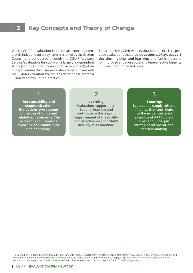#### **Key Concepts and Theory of Change 2**

Within CGIAR, evaluation is either an external, completely independent study (commissioned by the System Council and conducted through the CGIAR Advisory Service/evaluation function) or a largely independent study (commissioned by an initiative or project) of an in-depth nature that uses evaluation criteria in line with the CGIAR Evaluation Policy**6**. Together, these create a CGIAR-wide evaluation practice.

The aim of the CGIAR-wide evaluation practice is to produce evaluations that provide **accountability, support decision-making, and learning**, and furnish lessons for improved and more cost- and time-effective benefits in three interconnected ways:

### **1**

#### **Accountability and communication: Evaluations give account of the use of funds and related achievements. The account is conveyed via reporting and communication of findings.**

**2**

**Learning: Evaluations support institutional learning and contribute to the ongoing improvement of the quality and effectiveness of CGIAR's delivery of its mandate.**

### **3**

**Steering: Evaluations supply reliable findings that contribute to the evidence-based planning of AR4D objectives and underpin strategic and operational decision-making.**

<sup>&</sup>lt;sup>6</sup> This definition is adapted to CGIAR from the glossary of the OECD Development Assistance Committee <https://www.oecd.org/development/evaluation/> and Evaluation Network and the Norms and Standards for Evaluation, United Nations Evaluation Group (2016). [http://www.unevaluation.org/document/](http://www.unevaluation.org/document/detail/1914http://) detail/1914. A full spectrum of evaluation-related definitions is available in the most recent CGIAR [MELIA/PRMF glossary](https://drive.google.com/file/d/1v0O5wt4z3bgs_wCYa7H2FifTVSAXAVjl/view).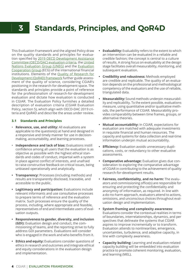#### <span id="page-5-0"></span>**Standards, Principles, and QoR4D 3**

This Evaluation Framework and the aligned Policy draw on the quality standards and principles for evaluation specified by [2019 OECD Development Assistance](https://www.oecd.org/dac/evaluation/daccriteriaforevaluatingdevelopmentassistance.htm) [Committee \(OECD/DAC\) evaluation criteria,](https://www.oecd.org/dac/evaluation/daccriteriaforevaluatingdevelopmentassistance.htm) the [United](http://uneval.org/) [Nations Evaluation Group \(UNEG\)](http://uneval.org/) and the [Evaluation](https://www.ecgnet.org/) [Cooperation Group](https://www.ecgnet.org/) (ECG) of the international financial institutions. Elements of the [Quality of Research for](https://cas.cgiar.org/sites/default/files/pdf/Quality%20of%20Research%20for%20Development%20in%20Practice%20for%20One%20CGIAR_0.pdf)  [Development \(QoR4D\) framework](https://cas.cgiar.org/sites/default/files/pdf/Quality%20of%20Research%20for%20Development%20in%20Practice%20for%20One%20CGIAR_0.pdf) further guide assessment of the quality of science, considering CGIAR's positioning in the research-for-development space. The standards and principles provide a point of reference for the professionalism of research-for-development evaluation and dictate how evaluation is conducted in CGIAR. The Evaluation Policy furnishes a detailed description of evaluation criteria (CGIAR Evaluation Policy, section 5), which align with OECD-DAC 2019 criteria and QoR4D and describe the areas under review.

#### **3.1 Standards and Principles**

- **Relevance, use, and utility:** All evaluations are applicable to the question(s) at hand and designed in a responsive and timely manner for use in decisionmaking, accountability, and learning processes.
- **Independence and lack of bias:** Evaluations instill confidence among all users that the evaluation is as objective as possible with the highest ethical standards and codes of conduct, impartial with a system in place against conflict of interests, and unafraid to raise constructive feedback on critical issues, being unbiased operationally and analytically.
- **• Transparency:** Processes (including methods) and results are transparently disclosed, traceable, and accessible to the public.
- **• Legitimacy and participation:** Evaluations include relevant informants and use consultative processes to prepare terms of reference and the evaluation matrix. Such processes ensure the quality of the process, including, where appropriate and feasible, representatives of end and intermediate users of evaluation outputs.
- **• Responsiveness to gender, diversity, and inclusion (GDI):** Evaluation design and conduct, the commissioning of teams, and the reporting strive to fully address GDI parameters. Evaluations will consider who is engaged in the work and who benefits from it.
- **• Ethics and equity:** Evaluations consider questions of ethics in research and outcomes and integrate ethical and equity considerations in the evaluation design and implementation.
- **Evaluability:** Evaluability refers to the extent to which an intervention can be evaluated in a reliable and credible fashion; the concept is central to a culture of results. A strong focus on evaluability at the design stage facilitates overall measurability, monitoring, and subsequent evaluation.
- **• Credibility and robustness:** Methods employed are credible and replicable. The quality of an evaluation depends on the professional and methodological competency of the evaluators and the use of reliable, triangulated data.
- **• Measurability:** Sound methods underpin measurability and replicability. To the extent possible, evaluations measure, using quantitative and/or qualitative methods, the performance of CGIAR. Measurability provides comparability between time frames, groups, or alternative theories.
- **• Mutual accountability:** In CGIAR, expectations for evaluation are matched with adequate investments in requisite financial and human resources. The capacity and systems for data collection and real-time information underpin mutual accountability.
- **• Efficiency:** Evaluation avoids unnecessary duplications, costs, or redundancy to other evaluative assessments.
- **• Comparative advantage:** Evaluation gives due consideration to exploring the comparative advantage of CGIAR in contributing to the achievement of quality research-for-development results.
- **• Fairness, confidentiality, and no harm:** The evaluators and commissioning office(s) are responsible for ensuring and protecting the confidentiality and anonymity of information, as required. In line with a do-no-harm approach, evaluators attend to actions, omissions, and unconscious choices throughout evaluation design and implementation.
- **• System framing and complexity awareness:** Evaluations consider the contextual realities in terms of boundaries, interrelationships, dynamics, and per spectives that delineate the systems that CGIAR aspires to improve incrementally or to transform. Evaluation attends to nonlinearities, emergence, uncertainties, turbulence, and adaptive capacity, in line with complexity awareness.
- **• Capacity building:** Learning and evaluation-related capacity building will be embedded into evaluation practice to promote coherent monitoring, evaluation, and learning (MEL).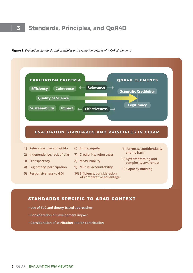## **3 Standards, Principles, and QoR4D**



**Figure 3:** *Evaluation standards and principles and evaluation criteria with QoR4D elements*

- **Use of ToC and theory-based approaches**
- **Consideration of development impact**
- **Consideration of attribution and/or contribution**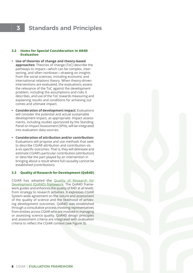### **3 Standards and Principles**

#### **3.2 Items for Special Consideration in AR4D Evaluation**

- **• Use of theories of change and theory-based approaches:** Theories of change (ToC) describe the pathways to impact—which can be complex, intersecting, and often nonlinear—drawing on insights from the social sciences, including economic and international relations theory. When theory-driven interventions are evaluated, the evaluations assess the relevance of the ToC against the development problem, including the assumptions and risks it describes, and use of the ToC towards measuring and explaining results and conditions for achieving out comes and ultimate impact.
- **• Consideration of development impact:** Evaluations will consider the potential and actual sustainable development impact, as appropriate. Impact assessments, including studies sponsored by the Standing Panel on Impact Assessment (SPIA), will be integrated into evaluation data sources.
- **• Consideration of attribution and/or contribution:** Evaluations will propose and use methods that seek to describe CGIAR attribution and contribution visà-vis specific outcomes. That is, they will delineate and estimate CGIAR's particular contribution (attribution) or describe the part played by an intervention in bringing about a result where full causality cannot be established (contribution).

#### **3.3 Quality of Research for Development (QoR4D)**

CGIAR has adopted the [Quality of Research for](https://cas.cgiar.org/sites/default/files/pdf/Quality%20of%20Research%20for%20Development%20in%20Practice%20for%20One%20CGIAR_0.pdf)  [Development \(QoR4D\) framework.](https://cas.cgiar.org/sites/default/files/pdf/Quality%20of%20Research%20for%20Development%20in%20Practice%20for%20One%20CGIAR_0.pdf) The QoR4D framework guides and enhances the quality of R4D at all levels, from strategy to research activities. It expresses CGIAR System-wide agreement on the nature and assessment of the quality of science and the likelihood of achieving development outcomes. QoR4D was established through a consultative process involving representatives from entities across CGIAR who are involved in managing or assessing science quality. QoR4D design principles and assessment criteria are integrated with evaluation criteria to reflect the CGIAR context (see Figure 3).

**6** cgiar | evaluation Framework